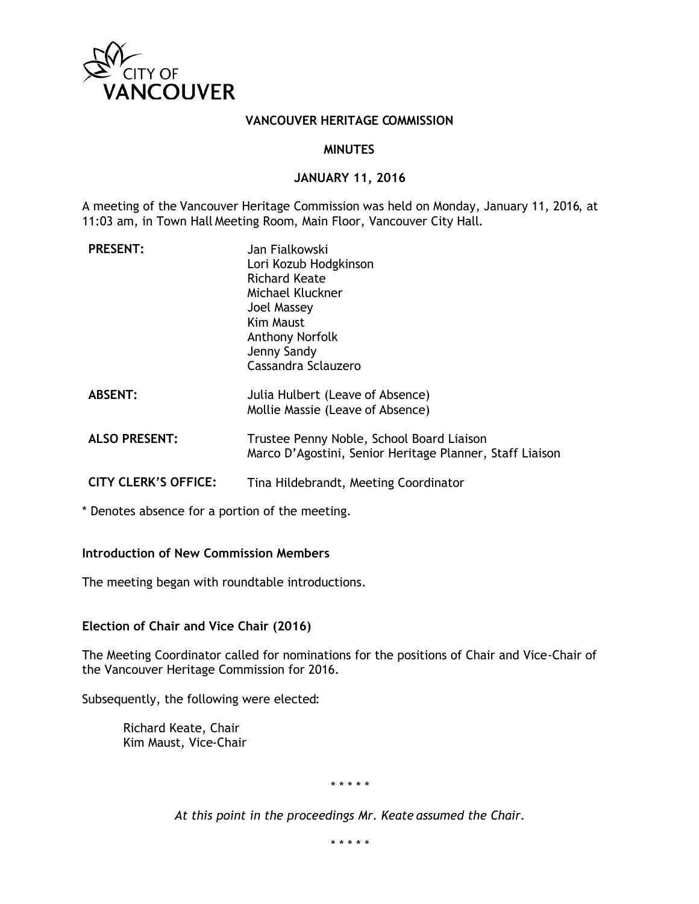

### **VANCOUVER HERITAGE COMMISSION**

#### **MINUTES**

#### **JANUARY 11, 2016**

A meeting of the Vancouver Heritage Commission was held on Monday, January 11, 2016, at 11:03 am, in Town Hall Meeting Room, Main Floor, Vancouver City Hall.

| <b>PRESENT:</b>             | Jan Fialkowski<br>Lori Kozub Hodgkinson<br>Richard Keate<br>Michael Kluckner<br>Joel Massey<br>Kim Maust<br><b>Anthony Norfolk</b><br>Jenny Sandy<br>Cassandra Sclauzero |
|-----------------------------|--------------------------------------------------------------------------------------------------------------------------------------------------------------------------|
| <b>ABSENT:</b>              | Julia Hulbert (Leave of Absence)<br>Mollie Massie (Leave of Absence)                                                                                                     |
| <b>ALSO PRESENT:</b>        | Trustee Penny Noble, School Board Liaison<br>Marco D'Agostini, Senior Heritage Planner, Staff Liaison                                                                    |
| <b>CITY CLERK'S OFFICE:</b> | Tina Hildebrandt, Meeting Coordinator                                                                                                                                    |

\* Denotes absence for a portion of the meeting.

### **Introduction of New Commission Members**

The meeting began with roundtable introductions.

**Election of Chair and Vice Chair (2016)**

The Meeting Coordinator called for nominations for the positions of Chair and Vice-Chair of the Vancouver Heritage Commission for 2016.

Subsequently, the following were elected:

Richard Keate, Chair Kim Maust, Vice-Chair

*\* \* \* \* \**

*At this point in the proceedings Mr. Keate assumed the Chair.*

*\* \* \* \* \**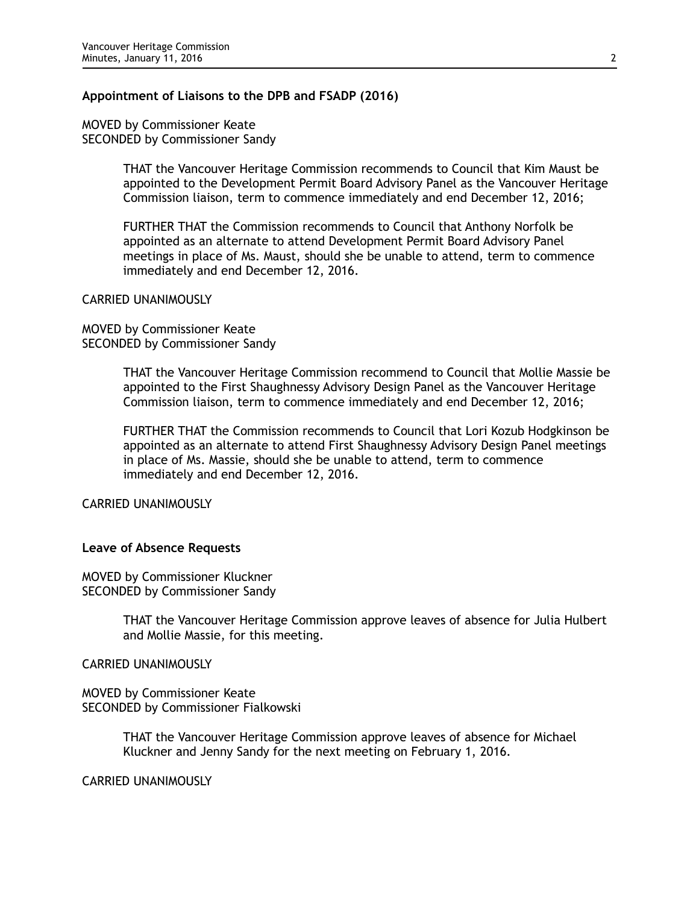#### **Appointment of Liaisons to the DPB and FSADP (2016)**

MOVED by Commissioner Keate SECONDED by Commissioner Sandy

> THAT the Vancouver Heritage Commission recommends to Council that Kim Maust be appointed to the Development Permit Board Advisory Panel as the Vancouver Heritage Commission liaison, term to commence immediately and end December 12, 2016;

FURTHER THAT the Commission recommends to Council that Anthony Norfolk be appointed as an alternate to attend Development Permit Board Advisory Panel meetings in place of Ms. Maust, should she be unable to attend, term to commence immediately and end December 12, 2016.

#### CARRIED UNANIMOUSLY

MOVED by Commissioner Keate SECONDED by Commissioner Sandy

> THAT the Vancouver Heritage Commission recommend to Council that Mollie Massie be appointed to the First Shaughnessy Advisory Design Panel as the Vancouver Heritage Commission liaison, term to commence immediately and end December 12, 2016;

> FURTHER THAT the Commission recommends to Council that Lori Kozub Hodgkinson be appointed as an alternate to attend First Shaughnessy Advisory Design Panel meetings in place of Ms. Massie, should she be unable to attend, term to commence immediately and end December 12, 2016.

CARRIED UNANIMOUSLY

#### **Leave of Absence Requests**

MOVED by Commissioner Kluckner SECONDED by Commissioner Sandy

> THAT the Vancouver Heritage Commission approve leaves of absence for Julia Hulbert and Mollie Massie, for this meeting.

CARRIED UNANIMOUSLY

MOVED by Commissioner Keate SECONDED by Commissioner Fialkowski

> THAT the Vancouver Heritage Commission approve leaves of absence for Michael Kluckner and Jenny Sandy for the next meeting on February 1, 2016.

CARRIED UNANIMOUSLY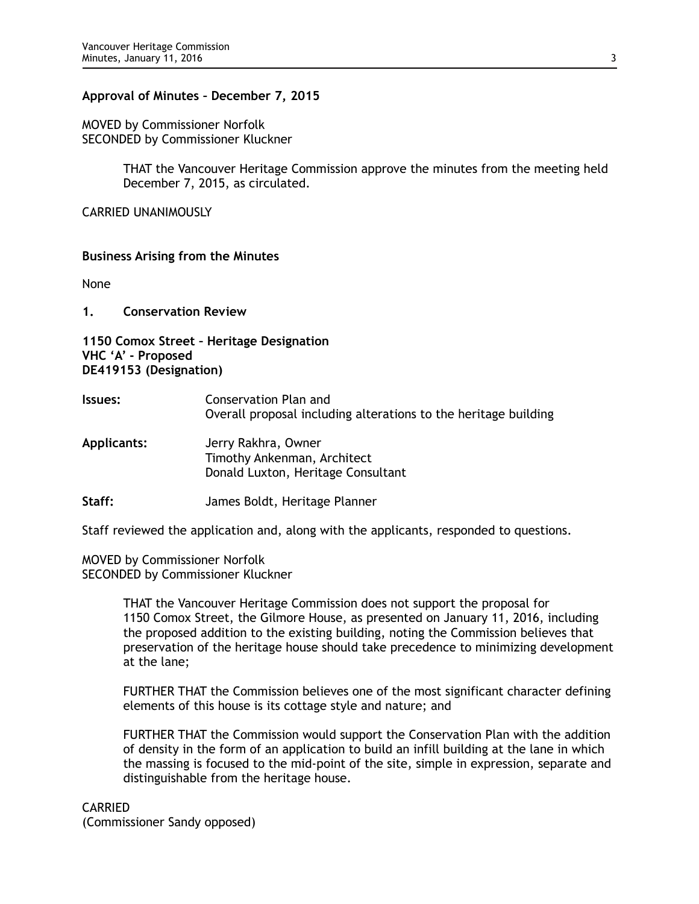### **Approval of Minutes – December 7, 2015**

MOVED by Commissioner Norfolk SECONDED by Commissioner Kluckner

> THAT the Vancouver Heritage Commission approve the minutes from the meeting held December 7, 2015, as circulated.

CARRIED UNANIMOUSLY

### **Business Arising from the Minutes**

None

**1. Conservation Review**

**1150 Comox Street – Heritage Designation VHC 'A' - Proposed DE419153 (Designation)**

- **Issues:** Conservation Plan and Overall proposal including alterations to the heritage building
- **Applicants:** Jerry Rakhra, Owner Timothy Ankenman, Architect Donald Luxton, Heritage Consultant
- **Staff:** James Boldt, Heritage Planner

Staff reviewed the application and, along with the applicants, responded to questions.

MOVED by Commissioner Norfolk SECONDED by Commissioner Kluckner

> THAT the Vancouver Heritage Commission does not support the proposal for 1150 Comox Street, the Gilmore House, as presented on January 11, 2016, including the proposed addition to the existing building, noting the Commission believes that preservation of the heritage house should take precedence to minimizing development at the lane;

> FURTHER THAT the Commission believes one of the most significant character defining elements of this house is its cottage style and nature; and

> FURTHER THAT the Commission would support the Conservation Plan with the addition of density in the form of an application to build an infill building at the lane in which the massing is focused to the mid-point of the site, simple in expression, separate and distinguishable from the heritage house.

CARRIED

(Commissioner Sandy opposed)